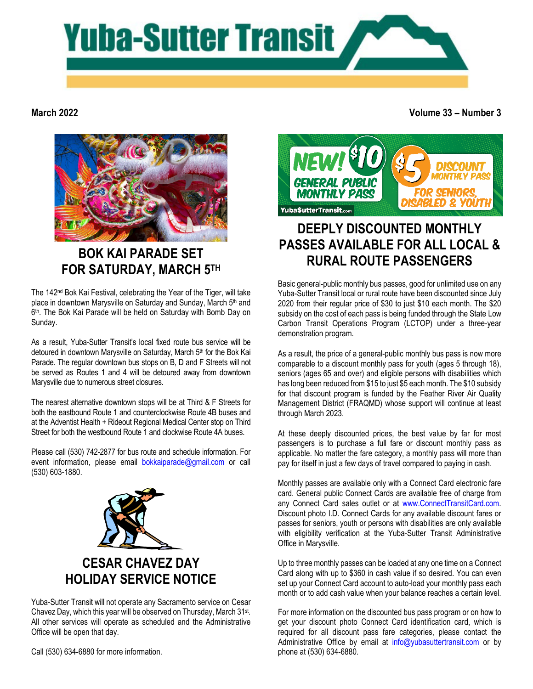

#### **March 2022**

**Volume 33 – Number 3**



# **BOK KAI PARADE SET FOR SATURDAY, MARCH 5TH**

The 142nd Bok Kai Festival, celebrating the Year of the Tiger, will take place in downtown Marysville on Saturday and Sunday, March 5th and 6<sup>th</sup>. The Bok Kai Parade will be held on Saturday with Bomb Day on Sunday.

As a result, Yuba-Sutter Transit's local fixed route bus service will be detoured in downtown Marysville on Saturday, March 5<sup>th</sup> for the Bok Kai Parade. The regular downtown bus stops on B, D and F Streets will not be served as Routes 1 and 4 will be detoured away from downtown Marysville due to numerous street closures.

The nearest alternative downtown stops will be at Third & F Streets for both the eastbound Route 1 and counterclockwise Route 4B buses and at the Adventist Health + Rideout Regional Medical Center stop on Third Street for both the westbound Route 1 and clockwise Route 4A buses.

Please call (530) 742-2877 for bus route and schedule information. For event information, please email [bokkaiparade@gmail.com](mailto:bokkaiparade@gmail.com) or call (530) 603-1880.



## **CESAR CHAVEZ DAY HOLIDAY SERVICE NOTICE**

Yuba-Sutter Transit will not operate any Sacramento service on Cesar Chavez Day, which this year will be observed on Thursday, March 31st. All other services will operate as scheduled and the Administrative Office will be open that day.

Call (530) 634-6880 for more information.



# **DEEPLY DISCOUNTED MONTHLY PASSES AVAILABLE FOR ALL LOCAL & RURAL ROUTE PASSENGERS**

Basic general-public monthly bus passes, good for unlimited use on any Yuba-Sutter Transit local or rural route have been discounted since July 2020 from their regular price of \$30 to just \$10 each month. The \$20 subsidy on the cost of each pass is being funded through the State Low Carbon Transit Operations Program (LCTOP) under a three-year demonstration program.

As a result, the price of a general-public monthly bus pass is now more comparable to a discount monthly pass for youth (ages 5 through 18), seniors (ages 65 and over) and eligible persons with disabilities which has long been reduced from \$15 to just \$5 each month. The \$10 subsidy for that discount program is funded by the Feather River Air Quality Management District (FRAQMD) whose support will continue at least through March 2023.

At these deeply discounted prices, the best value by far for most passengers is to purchase a full fare or discount monthly pass as applicable. No matter the fare category, a monthly pass will more than pay for itself in just a few days of travel compared to paying in cash.

Monthly passes are available only with a Connect Card electronic fare card. General public Connect Cards are available free of charge from any Connect Card sales outlet or at [www.ConnectTransitCard.com.](http://www.connecttransitcard.com/)  Discount photo I.D. Connect Cards for any available discount fares or passes for seniors, youth or persons with disabilities are only available with eligibility verification at the Yuba-Sutter Transit Administrative Office in Marysville.

Up to three monthly passes can be loaded at any one time on a Connect Card along with up to \$360 in cash value if so desired. You can even set up your Connect Card account to auto-load your monthly pass each month or to add cash value when your balance reaches a certain level.

For more information on the discounted bus pass program or on how to get your discount photo Connect Card identification card, which is required for all discount pass fare categories, please contact the Administrative Office by email at [info@yubasuttertransit.com](mailto:info@yubasuttertransit.com) or by phone at (530) 634-6880.